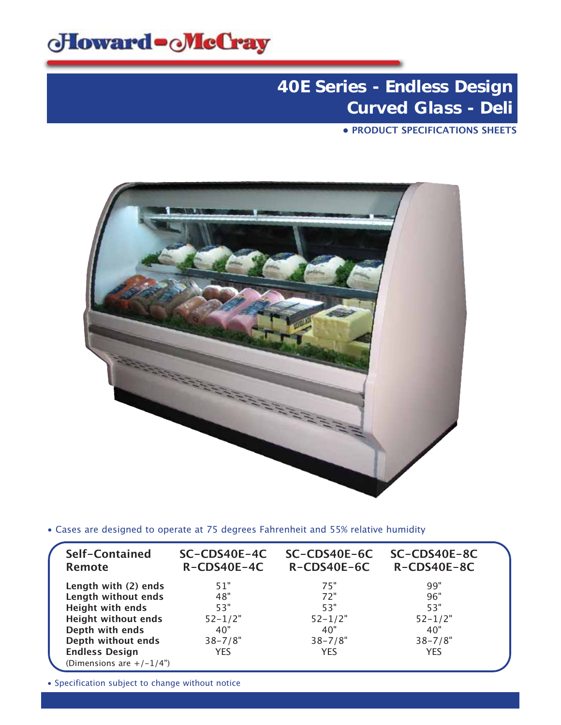

**• PRODUCT SPECIFICATIONS SHEETS**



• Cases are designed to operate at 75 degrees Fahrenheit and 55% relative humidity

| Self-Contained<br><b>Remote</b> | SC-CDS40E-4C<br>R-CDS40E-4C | SC-CDS40E-6C<br>R-CDS40E-6C | SC-CDS40E-8C<br>R-CDS40E-8C |  |
|---------------------------------|-----------------------------|-----------------------------|-----------------------------|--|
| Length with (2) ends            | 51"                         | 75"                         | 99"                         |  |
| Length without ends             | 48"                         | 72"                         | 96"                         |  |
| Height with ends                | 53"                         | 53"                         | 53"                         |  |
| <b>Height without ends</b>      | $52 - 1/2"$                 | $52 - 1/2"$                 | $52 - 1/2"$                 |  |
| Depth with ends                 | 40"                         | 40"                         | 40"                         |  |
| Depth without ends              | $38 - 7/8"$                 | $38 - 7/8"$                 | $38 - 7/8"$                 |  |
| <b>Endless Design</b>           | <b>YES</b>                  | <b>YES</b>                  | <b>YES</b>                  |  |
| (Dimensions are $+/-1/4$ ")     |                             |                             |                             |  |

• Specification subject to change without notice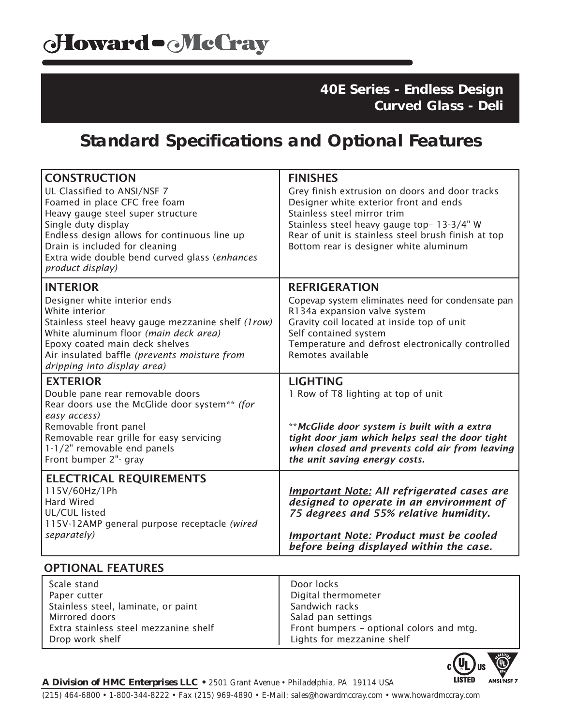### **Standard Specifications and Optional Features**

| <b>CONSTRUCTION</b><br>UL Classified to ANSI/NSF 7<br>Foamed in place CFC free foam<br>Heavy gauge steel super structure<br>Single duty display<br>Endless design allows for continuous line up<br>Drain is included for cleaning<br>Extra wide double bend curved glass (enhances<br>product display) | <b>FINISHES</b><br>Grey finish extrusion on doors and door tracks<br>Designer white exterior front and ends<br>Stainless steel mirror trim<br>Stainless steel heavy gauge top- 13-3/4" W<br>Rear of unit is stainless steel brush finish at top<br>Bottom rear is designer white aluminum |
|--------------------------------------------------------------------------------------------------------------------------------------------------------------------------------------------------------------------------------------------------------------------------------------------------------|-------------------------------------------------------------------------------------------------------------------------------------------------------------------------------------------------------------------------------------------------------------------------------------------|
| <b>INTERIOR</b><br>Designer white interior ends<br>White interior<br>Stainless steel heavy gauge mezzanine shelf (1row)<br>White aluminum floor (main deck area)<br>Epoxy coated main deck shelves<br>Air insulated baffle (prevents moisture from<br>dripping into display area)                      | <b>REFRIGERATION</b><br>Copevap system eliminates need for condensate pan<br>R134a expansion valve system<br>Gravity coil located at inside top of unit<br>Self contained system<br>Temperature and defrost electronically controlled<br>Remotes available                                |
| <b>EXTERIOR</b><br>Double pane rear removable doors<br>Rear doors use the McGlide door system** (for<br>easy access)<br>Removable front panel<br>Removable rear grille for easy servicing<br>1-1/2" removable end panels<br>Front bumper 2"- gray                                                      | <b>LIGHTING</b><br>1 Row of T8 lighting at top of unit<br>**McGlide door system is built with a extra<br>tight door jam which helps seal the door tight<br>when closed and prevents cold air from leaving<br>the unit saving energy costs.                                                |
| <b>ELECTRICAL REQUIREMENTS</b><br>115V/60Hz/1Ph<br><b>Hard Wired</b><br>UL/CUL listed<br>115V-12AMP general purpose receptacle (wired<br>separately)                                                                                                                                                   | <b>Important Note: All refrigerated cases are</b><br>designed to operate in an environment of<br>75 degrees and 55% relative humidity.<br><b>Important Note: Product must be cooled</b><br>before being displayed within the case.                                                        |
| <b>OPTIONAL FEATURES</b>                                                                                                                                                                                                                                                                               |                                                                                                                                                                                                                                                                                           |
| المستحقم والمحاك                                                                                                                                                                                                                                                                                       | De and a also                                                                                                                                                                                                                                                                             |

| Scale stand                           | Door locks                               |
|---------------------------------------|------------------------------------------|
| Paper cutter                          | Digital thermometer                      |
| Stainless steel, laminate, or paint   | Sandwich racks                           |
| Mirrored doors                        | Salad pan settings                       |
| Extra stainless steel mezzanine shelf | Front bumpers - optional colors and mtg. |
| Drop work shelf                       | Lights for mezzanine shelf               |



*A Division of HMC Enterprises LLC • 2501 Grant Avenue • Philadelphia, PA 19114 USA (215) 464-6800 • 1-800-344-8222 • Fax (215) 969-4890 • E-Mail: sales@howardmccray.com • www.howardmccray.com*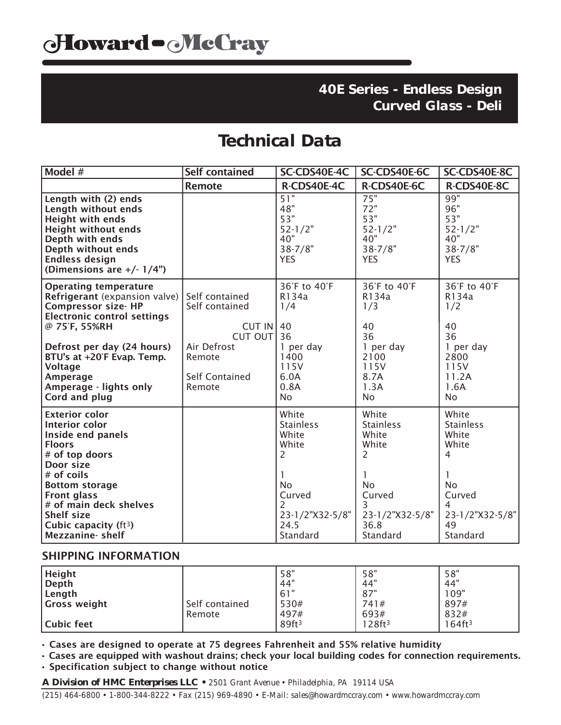# **Technical Data**

| Model #                                                                                                                                                                                                                                                                                 | <b>Self contained</b>                                          | SC-CDS40E-4C                                                                                                        | SC-CDS40E-6C                                                                                                        | SC-CDS40E-8C                                                                                                      |
|-----------------------------------------------------------------------------------------------------------------------------------------------------------------------------------------------------------------------------------------------------------------------------------------|----------------------------------------------------------------|---------------------------------------------------------------------------------------------------------------------|---------------------------------------------------------------------------------------------------------------------|-------------------------------------------------------------------------------------------------------------------|
|                                                                                                                                                                                                                                                                                         | <b>Remote</b>                                                  | R-CDS40E-4C                                                                                                         | R-CDS40E-6C                                                                                                         | R-CDS40E-8C                                                                                                       |
| Length with (2) ends<br>Length without ends<br><b>Height with ends</b><br><b>Height without ends</b><br>Depth with ends<br>Depth without ends<br><b>Endless design</b><br>(Dimensions are $+/- 1/4$ ")                                                                                  |                                                                | 51"<br>48"<br>53"<br>$52 - 1/2"$<br>40"<br>$38 - 7/8"$<br><b>YES</b>                                                | 75"<br>72"<br>53"<br>$52 - 1/2"$<br>40"<br>$38 - 7/8"$<br><b>YES</b>                                                | 99"<br>96"<br>53"<br>$52 - 1/2"$<br>40"<br>$38 - 7/8"$<br><b>YES</b>                                              |
| <b>Operating temperature</b><br><b>Refrigerant</b> (expansion valve)<br><b>Compressor size- HP</b><br><b>Electronic control settings</b><br>@ 75°F, 55%RH                                                                                                                               | Self contained<br>Self contained<br>CUT IN $ 40$<br>CUT OUT 36 | 36°F to 40°F<br>R134a<br>1/4                                                                                        | 36°F to 40°F<br>R134a<br>1/3<br>40<br>36                                                                            | 36°F to 40°F<br>R134a<br>1/2<br>40<br>36                                                                          |
| Defrost per day (24 hours)<br>BTU's at +20°F Evap. Temp.<br><b>Voltage</b><br>Amperage<br>Amperage - lights only<br>Cord and plug                                                                                                                                                       | Air Defrost<br>Remote<br><b>Self Contained</b><br>Remote       | 1 per day<br>1400<br>115V<br>6.0A<br>0.8A<br>No                                                                     | 1 per day<br>2100<br>115V<br>8.7A<br>1.3A<br>No.                                                                    | 1 per day<br>2800<br>115V<br>11.2A<br>1.6A<br>No                                                                  |
| <b>Exterior color</b><br><b>Interior color</b><br>Inside end panels<br><b>Floors</b><br># of top doors<br>Door size<br># of coils<br><b>Bottom storage</b><br><b>Front glass</b><br># of main deck shelves<br><b>Shelf size</b><br>Cubic capacity (ft <sup>3</sup> )<br>Mezzanine-shelf |                                                                | White<br><b>Stainless</b><br>White<br>White<br>2<br><b>No</b><br>Curved<br>2<br>23-1/2"X32-5/8"<br>24.5<br>Standard | White<br><b>Stainless</b><br>White<br>White<br>2<br><b>No</b><br>Curved<br>3<br>23-1/2"X32-5/8"<br>36.8<br>Standard | White<br><b>Stainless</b><br>White<br>White<br>4<br><b>No</b><br>Curved<br>4<br>23-1/2"X32-5/8"<br>49<br>Standard |

#### SHIPPING INFORMATION

| Height<br>Depth<br>Length<br>Gross weight | Self contained<br>Remote | 58"<br>.44"<br>61"<br>530#<br>497# | 58"<br>44"<br>87"<br>741#<br>693# | 58"<br>.44"<br>109"<br>897#<br>832# |
|-------------------------------------------|--------------------------|------------------------------------|-----------------------------------|-------------------------------------|
| Cubic feet                                |                          | 89ft <sup>3</sup>                  | 28ft <sup>3</sup>                 | 164ft <sup>3</sup>                  |

• Cases are designed to operate at 75 degrees Fahrenheit and 55% relative humidity

• Cases are equipped with washout drains; check your local building codes for connection requirements. • Specification subject to change without notice

*A Division of HMC Enterprises LLC • 2501 Grant Avenue • Philadelphia, PA 19114 USA (215) 464-6800 • 1-800-344-8222 • Fax (215) 969-4890 • E-Mail: sales@howardmccray.com • www.howardmccray.com*